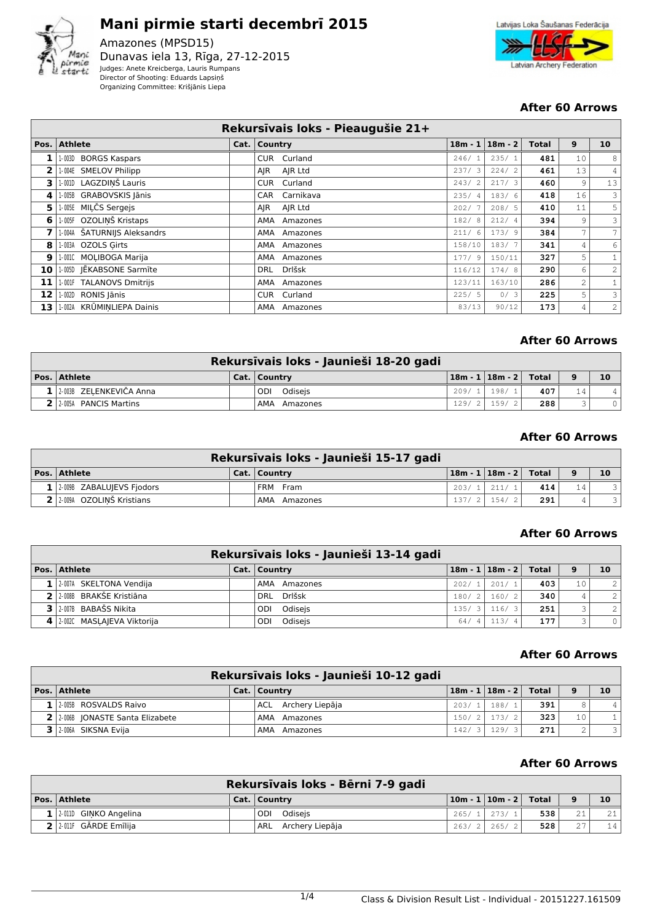

# **Mani pirmie starti decembrī 2015**

Amazones (MPSD15) Dunavas iela 13, Rīga, 27-12-2015 Judges: Anete Kreicberga, Lauris Rumpans Director of Shooting: Eduards Lapsiņš Organizing Committee: Krišjānis Liepa



## **After 60 Arrows**

|      | Rekursīvais loks - Pieaugušie 21+ |  |                      |        |                   |              |                |                 |  |  |  |
|------|-----------------------------------|--|----------------------|--------|-------------------|--------------|----------------|-----------------|--|--|--|
| Pos. | <b>Athlete</b>                    |  | Cat.   Country       |        | $18m - 1$ 18m - 2 | <b>Total</b> | 9              | 10 <sup>1</sup> |  |  |  |
|      | 1-003D BORGS Kaspars              |  | Curland<br>CUR.      | 246/1  | 235/1             | 481          | 10             | 8               |  |  |  |
| 2    | 1-004E SMELOV Philipp             |  | AJR Ltd<br>AIR       | 237/3  | 224/2             | 461          | 13             | 4               |  |  |  |
| 3    | 1-001D LAGZDINŠ Lauris            |  | Curland<br>CUR       | 243/2  | 217/3             | 460          | 9              | 13              |  |  |  |
| 4    | 1-005B GRABOVSKIS Jānis           |  | Carnikava<br>CAR     | 235/4  | 183/6             | 418          | 16             | 3               |  |  |  |
| 5    | 1-005E MILČS Sergejs              |  | AJR Ltd<br>AIR       | 202/7  | 208/5             | 410          | 11             | 5               |  |  |  |
| 6    | 1-005F OZOLINŠ Kristaps           |  | AMA<br>Amazones      | 182/8  | 212/4             | 394          | 9              | 3               |  |  |  |
|      | 1-004A ŠATURNIJS Aleksandrs       |  | AMA Amazones         | 211/6  | 173/9             | 384          | 7 <sup>1</sup> | 7               |  |  |  |
| 8    | 1-003A OZOLS Girts                |  | AMA Amazones         | 158/10 | 183/7             | 341          | $\overline{4}$ | 6               |  |  |  |
| 9    | 1-0010 MOLIBOGA Marija            |  | AMA Amazones         | 177/9  | 150/11            | 327          | 5              | $\mathbf{1}$    |  |  |  |
| 10   | 1-005D JEKABSONE Sarmite          |  | Drlšsk<br><b>DRL</b> | 116/12 | 174/8             | 290          | 6              | 2               |  |  |  |
| 11   | 1-001F TALANOVS Dmitrijs          |  | AMA Amazones         | 123/11 | 163/10            | 286          | $\overline{2}$ | $\mathbf{1}$    |  |  |  |
| 12   | 1-002D RONIS Jānis                |  | CUR Curland          | 225/5  | 0/3               | 225          | 5              | 3               |  |  |  |
| 13   | 1-002A KRŪMINLIEPA Dainis         |  | AMA Amazones         | 83/13  | 90/12             | 173          | 4              | 2               |  |  |  |

## **After 60 Arrows**

| Rekursīvais loks - Jaunieši 18-20 gadi |  |                |       |                             |     |      |    |  |  |  |
|----------------------------------------|--|----------------|-------|-----------------------------|-----|------|----|--|--|--|
| Pos. Athlete                           |  | Cat.   Country |       | 18m - 1   18m - 2     Total |     | $-9$ | 10 |  |  |  |
| $1$ 2.003B ZELENKEVIČA Anna            |  | ODI Odiseis    | 209/1 | 198/1                       | 407 | 14   |    |  |  |  |
| $2$   2-005A PANCIS Martins            |  | AMA Amazones   | 129/2 | 159/2                       | 288 |      |    |  |  |  |

#### **After 60 Arrows**

| Rekursīvais loks - Jaunieši 15-17 gadi |  |                |       |                               |     |    |                |  |  |  |
|----------------------------------------|--|----------------|-------|-------------------------------|-----|----|----------------|--|--|--|
| Pos. Athlete                           |  | Cat.   Country |       | $18m - 1$   $18m - 2$   Total |     |    | 10             |  |  |  |
| $1$   2.009B ZABALUJEVS Fiodors        |  | FRM Fram       | 203/  | 211/1                         | 414 | 14 | $\overline{a}$ |  |  |  |
| 2 2009A OZOLINŠ Kristians              |  | AMA Amazones   | 137/2 | 154/2                         | 291 |    |                |  |  |  |

## **After 60 Arrows**

| Rekursīvais loks - Jaunieši 13-14 gadi |  |                     |       |                |       |  |                               |              |          |  |
|----------------------------------------|--|---------------------|-------|----------------|-------|--|-------------------------------|--------------|----------|--|
| <b>Pos. Athlete</b>                    |  | Cat.   Country      |       |                |       |  | $18m - 1$   $18m - 2$   Total | 9            | 10       |  |
| $1$   2.007A SKELTONA Vendija          |  | <b>AMA Amazones</b> | 202/  |                | 201/1 |  | 403                           | 10           | 2        |  |
| 2 2.008B BRAKŠE Kristiāna              |  | DRL Drlšsk          | 180/2 |                | 160/2 |  | 340                           |              | 2        |  |
| $3$ 2-007B BABAŠS Nikita               |  | ODI Odisejs         | 135/  |                | 116/3 |  | 251                           | $\mathbf{r}$ | 2        |  |
| 4   2.002C MASLAJEVA Viktorija         |  | Odisejs<br>ODI      | 64/   | $\overline{a}$ | 113/4 |  | 177                           |              | $\Omega$ |  |

#### **After 60 Arrows**

| Rekursīvais loks - Jaunieši 10-12 gadi |  |                     |       |                               |     |                 |    |  |  |  |
|----------------------------------------|--|---------------------|-------|-------------------------------|-----|-----------------|----|--|--|--|
| Pos. Athlete                           |  | Cat.   Country      |       | $18m - 1$   $18m - 2$   Total |     | 9               | 10 |  |  |  |
| 1 2005B ROSVALDS Raivo                 |  | ACL Archery Liepāja | 203/1 | 188/1                         | 391 |                 |    |  |  |  |
| 2 2.006 JONASTE Santa Elizabete        |  | AMA Amazones        |       | $150/2$   $173/2$             | 323 | 10 <sup>1</sup> |    |  |  |  |
| 3 2-006A SIKSNA Evija                  |  | AMA Amazones        |       | $142/3$   129/3               | 271 |                 |    |  |  |  |

|                             | Rekursīvais loks - Bērni 7-9 gadi |                                                   |      |     |    |
|-----------------------------|-----------------------------------|---------------------------------------------------|------|-----|----|
| Pos. Athlete                | Cat.   Country                    | $\lfloor 10m - 1 \rfloor$ 10m - 2 $\lfloor$ Total |      | 9   | 10 |
| $1$   2-011D GINKO Angelina | ODI Odiseis                       | 265/1 273/1                                       | 5381 | 2.1 | 21 |
| 2 2 2 011F GĀRDE Emīlija    | ARL Archery Liepāja               | $263/2$ 265/2                                     | 528  | 27  | 14 |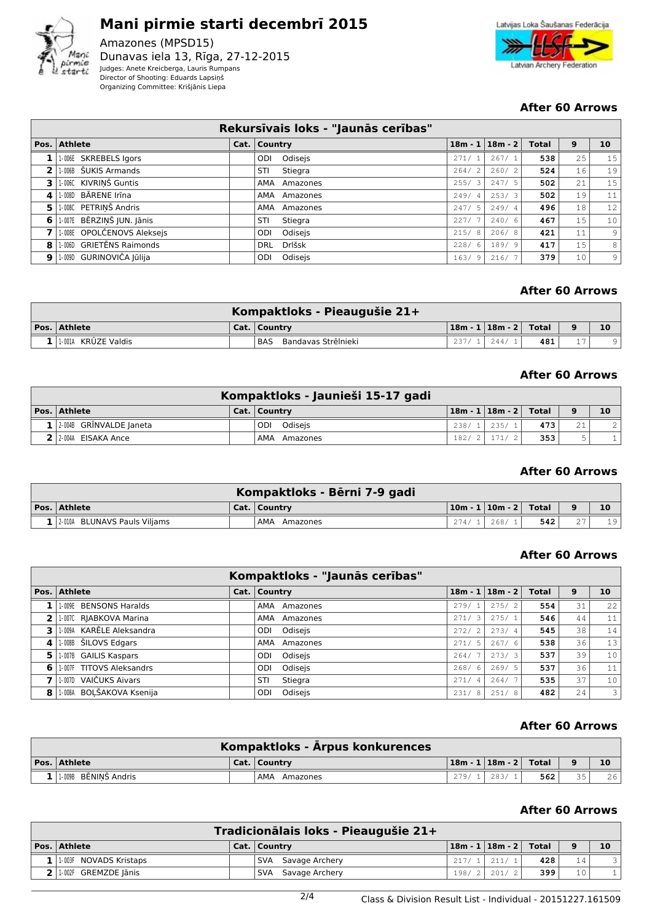

# **Mani pirmie starti decembrī 2015**

Amazones (MPSD15) Dunavas iela 13, Rīga, 27-12-2015 Judges: Anete Kreicberga, Lauris Rumpans Director of Shooting: Eduards Lapsiņš Organizing Committee: Krišjānis Liepa



## **After 60 Arrows**

|                |                                | Rekursīvais loks - "Jaunās cerības" |       |                       |              |    |                 |
|----------------|--------------------------------|-------------------------------------|-------|-----------------------|--------------|----|-----------------|
|                | Pos. Athlete                   | Cat.   Country                      |       | $18m - 1$   $18m - 2$ | <b>Total</b> | 9  | 10 <sub>1</sub> |
|                | 1-006E SKREBELS Igors          | Odisejs<br>ODI                      | 271/1 | 267/1                 | 538          | 25 | 15              |
| 2 <sub>1</sub> | 1-006B ŠUKIS Armands           | Stiegra<br>STI                      | 264/2 | 260/2                 | 524          | 16 | 19              |
|                | 3 1.006C KIVRINŠ Guntis        | AMA Amazones                        | 255/3 | 247/5                 | 502          | 21 | 15              |
| 4              | 1-008D BĀRENE Irīna            | AMA Amazones                        | 249/4 | 253/3                 | 502          | 19 | 11              |
| 51             | 1-008C PETRINŠ Andris          | AMA Amazones                        | 247/5 | 249/4                 | 496          | 18 | 12              |
| 6              | 1-007E BĒRZIŅŠ JUN. Jānis      | STI<br>Stiegra                      | 227/7 | 240/6                 | 467          | 15 | 10 <sup>1</sup> |
|                | 1-008E OPOLČENOVS Aleksejs     | Odisejs<br>ODI                      | 215/8 | 206/8                 | 421          | 11 | $\overline{9}$  |
| 8              | 1.006D GRIETĒNS Raimonds       | Drlšsk<br><b>DRL</b>                | 228/6 | 189/9                 | 417          | 15 | 8 <sup>1</sup>  |
|                | $9$   1-009D GURINOVIČA Jūlija | Odisejs<br>ODI                      | 163/9 | 216/7                 | 379          | 10 | $\overline{9}$  |

## **After 60 Arrows**

|                     | Kompaktloks - Pieaugušie 21+ |       |                                            |     |    |
|---------------------|------------------------------|-------|--------------------------------------------|-----|----|
| $ Pos. $ Athlete    | Cat.   Country               |       | $\mid$ 18m - 1 $\mid$ 18m - 2 $\mid$ Total |     | 10 |
| 1.001A KRŪZE Valdis | Bandavas Strēlnieki<br>. BAS | 237/1 | $-1244/1$                                  | 481 |    |

#### **After 60 Arrows**

|                             | Kompaktloks - Jaunieši 15-17 gadi |       |                           |     |                 |                |
|-----------------------------|-----------------------------------|-------|---------------------------|-----|-----------------|----------------|
| Pos.   Athlete              | Cat.   Country                    |       | 18m - 1   18m - 2   Total |     | $\bullet$       | 10             |
| $1/2.004B$ GRINVALDE Janeta | ODI Odiseis                       |       | $238/1$ 235/1             | 473 | 21 <sub>1</sub> | $\overline{2}$ |
| $2$ $2$ $004$ EISAKA Ance   | AMA Amazones                      | 182/2 | 171/2                     | 353 |                 |                |

#### **After 60 Arrows**

|                                  | Kompaktloks - Bērni 7-9 gadi |                           |     |    |
|----------------------------------|------------------------------|---------------------------|-----|----|
| $ Pos. $ Athlete                 | Cat.   Country               | $ 10m - 1 10m - 2 $ Total |     | 10 |
| 1   2.010A BLUNAVS Pauls Viljams | AMA Amazones                 | $274/1$ 268/1             | 542 | 19 |

#### **After 60 Arrows**

|    |                          | Kompaktloks - "Jaunās cerības" |                        |                       |              |    |    |
|----|--------------------------|--------------------------------|------------------------|-----------------------|--------------|----|----|
|    | Pos. Athlete             | Cat.   Country                 |                        | $18m - 1$   $18m - 2$ | <b>Total</b> | 9  | 10 |
|    | 1-009E BENSONS Haralds   | AMA Amazones                   | 279/1                  | 275/2                 | 554          | 31 | 22 |
|    | 1-007C RIABKOVA Marina   | AMA Amazones                   | 271/<br>-3             | 275/1                 | 546          | 44 | 11 |
| 3. | 1-009A KARĒLE Aleksandra | ODI Odisejs                    | 272/<br>$^{\prime}$ 2  | 273/4                 | 545          | 38 | 14 |
| 4  | 1.008B ŠILOVS Edgars     | AMA<br>Amazones                | 271/<br>-5             | 267/6                 | 538          | 36 | 13 |
| 5. | 1-007B GAILIS Kaspars    | Odisejs<br>ODI                 | 264/                   | 273/3                 | 537          | 39 | 10 |
| 6  | 1-007F TITOVS Aleksandrs | Odisejs<br>ODI.                | 268/<br>- 6            | 269/5                 | 537          | 36 | 11 |
|    | 1-007D VAIČUKS Aivars    | Stiegra<br>STI                 | 271/<br>$\overline{4}$ | 264/                  | 535          | 37 | 10 |
| 8  | 1-008A BOĻŠAKOVA Ksenija | Odisejs<br><b>ODI</b>          | 231/<br>-8             | 251/8                 | 482          | 24 | 3  |

#### **After 60 Arrows**

|                      | Kompaktloks - Arpus konkurences |       |                             |     |    |    |
|----------------------|---------------------------------|-------|-----------------------------|-----|----|----|
| $ Pos. $ Athlete     | Cat.   Country                  |       | 18m - 1   18m - 2     Total |     |    | 10 |
| 1.009B BĒNINŠ Andris | . AMA<br>Amazones               | 279/1 | 283/1                       | 562 | 35 | 26 |

|                              | Tradicionālais loks - Pieaugušie 21+ |                                                 |     |                |    |
|------------------------------|--------------------------------------|-------------------------------------------------|-----|----------------|----|
| Pos. Athlete                 | Cat.   Country                       | $\lfloor 18m - 1 \rfloor 18m - 2 \rfloor$ Total |     | 9              | 10 |
| $1$   1.003F NOVADS Kristaps | SVA Savage Archery                   | $217/1$ 211/1                                   | 428 | 14             |    |
| $2$   1-002F GREMZDE Jānis   | SVA Savage Archery                   | $198/2$ 201/2                                   | 399 | 1 <sub>0</sub> |    |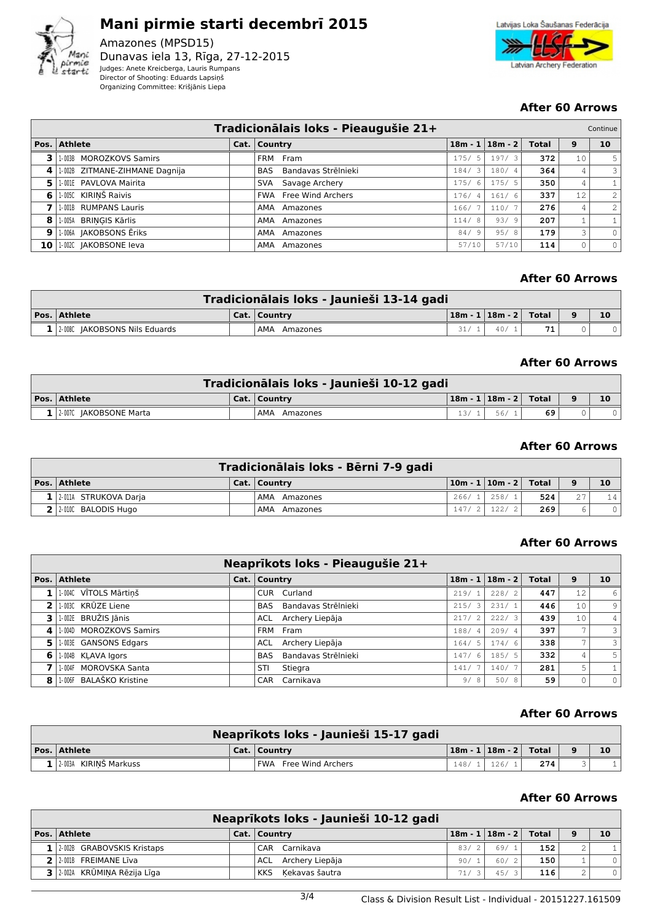

## **Mani pirmie starti decembrī 2015** Amazones (MPSD15)

Dunavas iela 13, Rīga, 27-12-2015 Judges: Anete Kreicberga, Lauris Rumpans Director of Shooting: Eduards Lapsiņš Organizing Committee: Krišjānis Liepa



## **After 60 Arrows**

|                 | Tradicionālais loks - Pieaugušie 21+<br>Continue |  |                                   |                    |                       |       |                 |                |  |  |  |  |
|-----------------|--------------------------------------------------|--|-----------------------------------|--------------------|-----------------------|-------|-----------------|----------------|--|--|--|--|
|                 | Pos. Athlete                                     |  | Cat.   Country                    |                    | $18m - 1$   $18m - 2$ | Total | 9               | 10             |  |  |  |  |
| 3               | 1-003B MOROZKOVS Samirs                          |  | FRM Fram                          | $\sqrt{2}$<br>175/ | 197/3                 | 372   | 10              | 5              |  |  |  |  |
| 4               | 1-002B ZITMANE-ZIHMANE Dagnija                   |  | Bandavas Strēlnieki<br><b>BAS</b> | -3<br>184/         | 180/4                 | 364   | 4               | 3              |  |  |  |  |
| 5               | 1-001E PAVLOVA Mairita                           |  | Savage Archery<br>SVA             | 175/<br>6          | 175/5                 | 350   | 4               |                |  |  |  |  |
| 6               | 1-005C KIRINŠ Raivis                             |  | <b>FWA</b> Free Wind Archers      | 176/4              | 161/6                 | 337   | 12 <sub>2</sub> | 2              |  |  |  |  |
|                 | 1-001B RUMPANS Lauris                            |  | AMA Amazones                      | 166/               | 110/7                 | 276   | 4               | $\overline{2}$ |  |  |  |  |
| 8               | 1-005A BRINGIS Kārlis                            |  | AMA Amazones                      | 114/<br>-8         | 93/9                  | 207   |                 |                |  |  |  |  |
| 9               | 1-006A JAKOBSONS Ēriks                           |  | AMA Amazones                      | 84/<br>9           | 95/8                  | 179   | 3               | $\Omega$       |  |  |  |  |
| 10 <sup>1</sup> | 1-002C JAKOBSONE leva                            |  | AMA Amazones                      | 57/10              | 57/10                 | 114   |                 | $\circ$        |  |  |  |  |

### **After 60 Arrows**

| Tradicionālais loks - Jaunieši 13-14 gadi |  |                 |  |                             |    |          |    |  |  |  |
|-------------------------------------------|--|-----------------|--|-----------------------------|----|----------|----|--|--|--|
| $ Pos. $ Athlete                          |  | Cat.   Country  |  | 18m - 1   18m - 2     Total |    | $\Omega$ | 10 |  |  |  |
| 1 2.008C JAKOBSONS Nils Eduards           |  | AMA<br>Amazones |  | 40/                         | 71 |          |    |  |  |  |

#### **After 60 Arrows**

| Tradicionālais loks - Jaunieši 10-12 gadi |  |                 |     |                             |    |          |    |  |  |  |
|-------------------------------------------|--|-----------------|-----|-----------------------------|----|----------|----|--|--|--|
| <b>Pos. Athlete</b>                       |  | Cat.   Country  |     | 18m - 1   18m - 2     Total |    | $\alpha$ | 10 |  |  |  |
| 1 2.007C JAKOBSONE Marta                  |  | AMA<br>Amazones | 13/ | 56/                         | 69 |          |    |  |  |  |

#### **After 60 Arrows**

|                        | Tradicionālais loks - Bērni 7-9 gadi |                                   |     |    |    |
|------------------------|--------------------------------------|-----------------------------------|-----|----|----|
| Pos. Athlete           | Cat.   Country                       | $10m - 1 \mid 10m - 2 \mid$ Total |     | 9  | 10 |
| 1 2011A STRUKOVA Darja | AMA Amazones                         | $266/1$   258/1                   | 524 | 27 | 14 |
| $2$ 2.000 BALODIS Hugo | AMA Amazones                         | $147/2$ 122/2                     | 269 |    |    |

#### **After 60 Arrows**

|               | Neaprīkots loks - Pieaugušie 21+ |  |                            |            |                       |       |                          |                          |  |  |  |
|---------------|----------------------------------|--|----------------------------|------------|-----------------------|-------|--------------------------|--------------------------|--|--|--|
|               | Pos. Athlete                     |  | Cat.   Country             |            | $18m - 1$   $18m - 2$ | Total | 9                        | 10                       |  |  |  |
|               | 1.004C VĪTOLS Mārtiņš            |  | CUR Curland                | 219/1      | 228/2                 | 447   | 12                       | 6                        |  |  |  |
| $\mathcal{P}$ | 1003C KRŪZE Liene                |  | BAS Bandavas Strēlnieki    | 215/3      | 231/1                 | 446   | 10                       | 9 <sub>1</sub>           |  |  |  |
| З.            | 1-002E BRUŽIS Jānis              |  | ACL Archery Liepāja        | 217/2      | 222/3                 | 439   | 10                       | 4                        |  |  |  |
| 4             | 1-004D MOROZKOVS Samirs          |  | FRM Fram                   | 188/4      | 209/4                 | 397   | $\overline{\phantom{a}}$ | $\overline{\mathbf{3}}$  |  |  |  |
| 5.            | 1-003E GANSONS Edgars            |  | Archery Liepāja<br>ACL     | -5<br>164/ | 174/6                 | 338   | ⇁                        | $\overline{\mathcal{E}}$ |  |  |  |
| 6             | 1-004B KLAVA Igors               |  | Bandavas Strēlnieki<br>BAS | 147/6      | 185/5                 | 332   | 4                        | 5                        |  |  |  |
|               | 1-004F MOROVSKA Santa            |  | STI<br>Stiegra             | 141/       | 140/7                 | 281   | 5                        |                          |  |  |  |
| 8             | 1-006F BALAŠKO Kristine          |  | CAR Carnikava              | 9/8        | 50/8                  | 59    |                          | $\circ$                  |  |  |  |

#### **After 60 Arrows**

| Neaprīkots loks - Jaunieši 15-17 gadi |  |                       |       |                             |     |  |  |  |  |
|---------------------------------------|--|-----------------------|-------|-----------------------------|-----|--|--|--|--|
| <b>Pos. Athlete</b>                   |  | Cat.   Country        |       | 18m - 1   18m - 2     Total |     |  |  |  |  |
| $1/2.003A$ KIRINŠ Markuss             |  | FWA Free Wind Archers | 148/1 | 126/                        | 274 |  |  |  |  |

|                                  | Neaprīkots loks - Jaunieši 10-12 gadi |      |                             |     |   |         |
|----------------------------------|---------------------------------------|------|-----------------------------|-----|---|---------|
| Pos. Athlete                     | Cat.   Country                        |      | $18m - 1   18m - 2  $ Total |     | 9 | 10      |
| $1$   2-002B GRABOVSKIS Kristaps | CAR Carnikava                         | 83/2 | 69/1                        | 152 |   |         |
| 2 2 2.001B FREIMANE Liva         | ACL Archery Liepāja                   | 90/  | 60/                         | 150 |   |         |
| 3 2.002A KRŪMINA Rēzija Līga     | Kekavas šautra<br><b>KKS</b>          | 71/  | 45/3                        | 116 |   | $\circ$ |